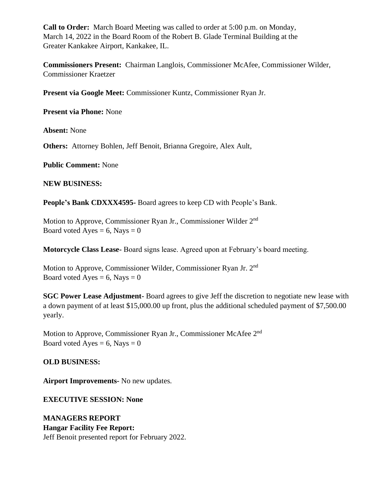**Call to Order:** March Board Meeting was called to order at 5:00 p.m. on Monday, March 14, 2022 in the Board Room of the Robert B. Glade Terminal Building at the Greater Kankakee Airport, Kankakee, IL.

**Commissioners Present:** Chairman Langlois, Commissioner McAfee, Commissioner Wilder, Commissioner Kraetzer

**Present via Google Meet:** Commissioner Kuntz, Commissioner Ryan Jr.

**Present via Phone:** None

**Absent:** None

**Others:** Attorney Bohlen, Jeff Benoit, Brianna Gregoire, Alex Ault,

**Public Comment:** None

**NEW BUSINESS:** 

**People's Bank CDXXX4595-** Board agrees to keep CD with People's Bank.

Motion to Approve, Commissioner Ryan Jr., Commissioner Wilder 2<sup>nd</sup> Board voted Ayes =  $6$ , Nays = 0

**Motorcycle Class Lease-** Board signs lease. Agreed upon at February's board meeting.

Motion to Approve, Commissioner Wilder, Commissioner Ryan Jr. 2nd Board voted Ayes =  $6$ , Nays = 0

**SGC Power Lease Adjustment-** Board agrees to give Jeff the discretion to negotiate new lease with a down payment of at least \$15,000.00 up front, plus the additional scheduled payment of \$7,500.00 yearly.

Motion to Approve, Commissioner Ryan Jr., Commissioner McAfee 2<sup>nd</sup> Board voted Ayes =  $6$ , Nays = 0

# **OLD BUSINESS:**

**Airport Improvements-** No new updates.

**EXECUTIVE SESSION: None**

**MANAGERS REPORT Hangar Facility Fee Report:** Jeff Benoit presented report for February 2022.